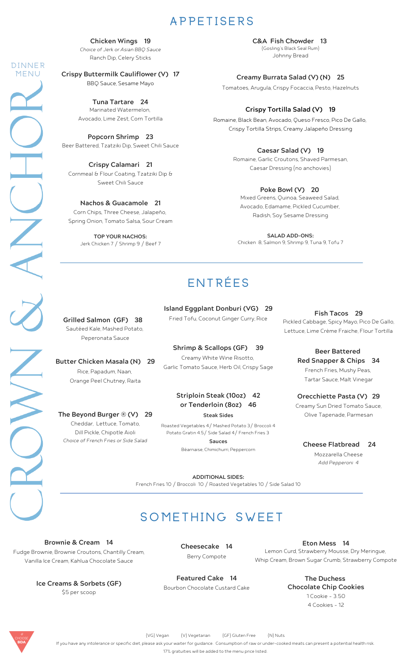## **A P P E T I S E R S**

**Chicken Wings 19**

Ranch Dip, Celery Sticks Choice of Jerk or Asian BBQ Sauce

**Crispy Buttermilk Cauliflower (V) 17** BBQ Sauce, Sesame Mayo

**D I N N E R M E N U**

> Marinated Watermelon, Avocado, Lime Zest, Corn Tortilla **Tuna Tartare 24**

Beer Battered, Tzatziki Dip, Sweet Chili Sauce **Popcorn Shrimp 23**

Cornmeal & Flour Coating, Tzatziki Dip & Sweet Chili Sauce **Crispy Calamari 21**

**Nachos & Guacamole 21** Corn Chips, Three Cheese, Jalapeño, Spring Onion, Tomato Salsa, Sour Cream

> **TOP YOUR NACHOS:** Jerk Chicken 7 / Shrimp 9 / Beef 7

Johnny Bread **C&A Fish Chowder 13** (Gosling's Black Seal Rum)

Tomatoes, Arugula, Crispy Focaccia, Pesto, Hazelnuts **Creamy Burrata Salad (V) (N) 25**

### **Crispy Tortilla Salad (V) 19**

Romaine, Black Bean, Avocado, Queso Fresco, Pico De Gallo, Crispy Tortilla Strips, Creamy Jalapeño Dressing

#### **Caesar Salad (V) 19**

Romaine, Garlic Croutons, Shaved Parmesan, Caesar Dressing (no anchovies)

#### **Poke Bowl (V) 20**

Mixed Greens, Quinoa, Seaweed Salad, Avocado, Edamame, Pickled Cucumber, Radish, Soy Sesame Dressing

**SALAD ADD-ONS:** Chicken 8, Salmon 9, Shrimp 9, Tuna 9, Tofu 7

# **E N T R É E S**

Sautéed Kale, Mashed Potato, Peperonata Sauce

**Butter Chicken Masala (N) 29** Rice, Papadum, Naan, Orange Peel Chutney, Raita

Cheddar, Lettuce, Tomato, **The Beyond Burger ® (V) 29**

Choice of French Fries or Side Salad Dill Pickle, Chipotle Aioli

Fried Tofu, Coconut Ginger Curry, Rice

**Island Eggplant Donburi (VG) 29**

Creamy White Wine Risotto, Garlic Tomato Sauce, Herb Oil, Crispy Sage **Shrimp & Scallops (GF) 39**

# **or Tenderloin (8oz) 46**

Roasted Vegetables 4/ Mashed Potato 3/ Broccoli 4 Potato Gratin 4.5/ Side Salad 4/ French Fries 3

**Sauces**

Béarnaise, Chimichurri, Peppercorn

Grilled Salmon (GF) 38 Fried Tofu, Coconut Ginger Curry, Rice Pickled Cabbage, Spicy Mayo, Pico De Gallo, Lettuce, Lime [Crème](https://www.internationaldessertsblog.com/make-creme-fraiche/) Fraiche, Flour Tortilla **Fish Tacos 29**

> French Fries, Mushy Peas, Tartar Sauce, Malt Vinegar **Beer Battered Red Snapper & Chips 34**

Creamy Sun Dried Tomato Sauce, Olive Tapenade, Parmesan **Orecchiette Pasta (V) 29**

Mozzarella Cheese **Cheese Flatbread 24** Add Pepperoni 4

**ADDITIONAL SIDES:** French Fries 10 / Broccoli 10 / Roasted Vegetables 10 / Side Salad 10

# **s o m e t h i n g S w e e t**

Fudge Brownie, Brownie Croutons, Chantilly Cream, Vanilla Ice Cream, Kahlua Chocolate Sauce **Brownie & Cream 14**

> **Ice Creams & Sorbets (GF)** \$5 per scoop

**Cheesecake 14** Berry Compote

**Featured Cake 14** Bourbon Chocolate Custard Cake

**Eton Mess 14** Lemon Curd, Strawberry Mousse, Dry Meringue, Whip Cream, Brown Sugar Crumb, Strawberry Compote

> **The Duchess Chocolate Chip Cookies** 1 Cookie - 3.50 4 Cookies - 12



XK

(VG) Vegan (V) Vegetarian (GF) Gluten Free (N) Nuts

If you have any intolerance or specific diet, please ask your waiter for guidance. Consumption of raw or under-cooked meats can present a potential health risk.

17% gratuities will be added to the menu price listed.

**Striploin Steak (10oz) 42**

**Steak Sides**